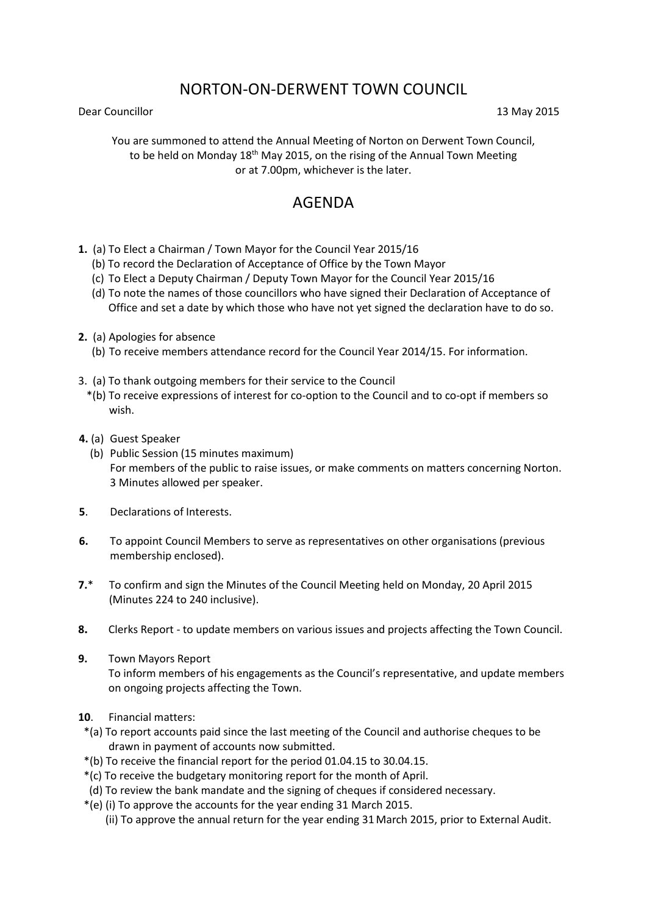# NORTON-ON-DERWENT TOWN COUNCIL

Dear Councillor 13 May 2015

You are summoned to attend the Annual Meeting of Norton on Derwent Town Council, to be held on Monday  $18<sup>th</sup>$  May 2015, on the rising of the Annual Town Meeting or at 7.00pm, whichever is the later.

## AGENDA

- **1.** (a) To Elect a Chairman / Town Mayor for the Council Year 2015/16
	- (b) To record the Declaration of Acceptance of Office by the Town Mayor
	- (c) To Elect a Deputy Chairman / Deputy Town Mayor for the Council Year 2015/16
	- (d) To note the names of those councillors who have signed their Declaration of Acceptance of Office and set a date by which those who have not yet signed the declaration have to do so.
- **2.** (a) Apologies for absence
	- (b) To receive members attendance record for the Council Year 2014/15. For information.
- 3. (a) To thank outgoing members for their service to the Council
	- \*(b) To receive expressions of interest for co-option to the Council and to co-opt if members so wish.
- **4.** (a) Guest Speaker
	- (b) Public Session (15 minutes maximum) For members of the public to raise issues, or make comments on matters concerning Norton. 3 Minutes allowed per speaker.
- **5**. Declarations of Interests.
- **6.** To appoint Council Members to serve as representatives on other organisations (previous membership enclosed).
- **7.**\* To confirm and sign the Minutes of the Council Meeting held on Monday, 20 April 2015 (Minutes 224 to 240 inclusive).
- **8.** Clerks Report to update members on various issues and projects affecting the Town Council.
- **9.** Town Mayors Report To inform members of his engagements as the Council's representative, and update members on ongoing projects affecting the Town.
- **10**. Financial matters:
- \*(a) To report accounts paid since the last meeting of the Council and authorise cheques to be drawn in payment of accounts now submitted.
- \*(b) To receive the financial report for the period 01.04.15 to 30.04.15.
- \*(c) To receive the budgetary monitoring report for the month of April.
- (d) To review the bank mandate and the signing of cheques if considered necessary.
- \*(e) (i) To approve the accounts for the year ending 31 March 2015.
	- (ii) To approve the annual return for the year ending 31 March 2015, prior to External Audit.